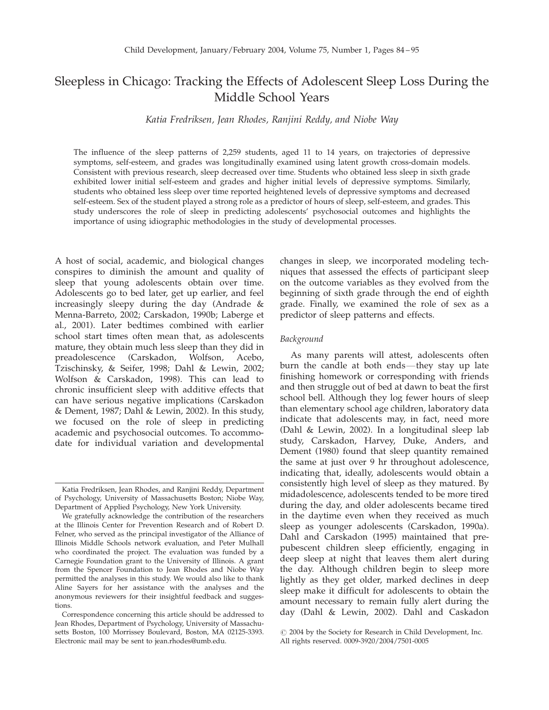# Sleepless in Chicago: Tracking the Effects of Adolescent Sleep Loss During the Middle School Years

Katia Fredriksen, Jean Rhodes, Ranjini Reddy, and Niobe Way

The influence of the sleep patterns of 2,259 students, aged 11 to 14 years, on trajectories of depressive symptoms, self-esteem, and grades was longitudinally examined using latent growth cross-domain models. Consistent with previous research, sleep decreased over time. Students who obtained less sleep in sixth grade exhibited lower initial self-esteem and grades and higher initial levels of depressive symptoms. Similarly, students who obtained less sleep over time reported heightened levels of depressive symptoms and decreased self-esteem. Sex of the student played a strong role as a predictor of hours of sleep, self-esteem, and grades. This study underscores the role of sleep in predicting adolescents' psychosocial outcomes and highlights the importance of using idiographic methodologies in the study of developmental processes.

A host of social, academic, and biological changes conspires to diminish the amount and quality of sleep that young adolescents obtain over time. Adolescents go to bed later, get up earlier, and feel increasingly sleepy during the day (Andrade & Menna-Barreto, 2002; Carskadon, 1990b; Laberge et al., 2001). Later bedtimes combined with earlier school start times often mean that, as adolescents mature, they obtain much less sleep than they did in preadolescence (Carskadon, Wolfson, Acebo, Tzischinsky, & Seifer, 1998; Dahl & Lewin, 2002; Wolfson & Carskadon, 1998). This can lead to chronic insufficient sleep with additive effects that can have serious negative implications (Carskadon & Dement, 1987; Dahl & Lewin, 2002). In this study, we focused on the role of sleep in predicting academic and psychosocial outcomes. To accommodate for individual variation and developmental changes in sleep, we incorporated modeling techniques that assessed the effects of participant sleep on the outcome variables as they evolved from the beginning of sixth grade through the end of eighth grade. Finally, we examined the role of sex as a predictor of sleep patterns and effects.

#### Background

As many parents will attest, adolescents often burn the candle at both ends—they stay up late finishing homework or corresponding with friends and then struggle out of bed at dawn to beat the first school bell. Although they log fewer hours of sleep than elementary school age children, laboratory data indicate that adolescents may, in fact, need more (Dahl & Lewin, 2002). In a longitudinal sleep lab study, Carskadon, Harvey, Duke, Anders, and Dement (1980) found that sleep quantity remained the same at just over 9 hr throughout adolescence, indicating that, ideally, adolescents would obtain a consistently high level of sleep as they matured. By midadolescence, adolescents tended to be more tired during the day, and older adolescents became tired in the daytime even when they received as much sleep as younger adolescents (Carskadon, 1990a). Dahl and Carskadon (1995) maintained that prepubescent children sleep efficiently, engaging in deep sleep at night that leaves them alert during the day. Although children begin to sleep more lightly as they get older, marked declines in deep sleep make it difficult for adolescents to obtain the amount necessary to remain fully alert during the day (Dahl & Lewin, 2002). Dahl and Caskadon

Katia Fredriksen, Jean Rhodes, and Ranjini Reddy, Department of Psychology, University of Massachusetts Boston; Niobe Way, Department of Applied Psychology, New York University.

We gratefully acknowledge the contribution of the researchers at the Illinois Center for Prevention Research and of Robert D. Felner, who served as the principal investigator of the Alliance of Illinois Middle Schools network evaluation, and Peter Mulhall who coordinated the project. The evaluation was funded by a Carnegie Foundation grant to the University of Illinois. A grant from the Spencer Foundation to Jean Rhodes and Niobe Way permitted the analyses in this study. We would also like to thank Aline Sayers for her assistance with the analyses and the anonymous reviewers for their insightful feedback and suggestions.

Correspondence concerning this article should be addressed to Jean Rhodes, Department of Psychology, University of Massachusetts Boston, 100 Morrissey Boulevard, Boston, MA 02125-3393. Electronic mail may be sent to jean.rhodes@umb.edu.

 $\circ$  2004 by the Society for Research in Child Development, Inc. All rights reserved. 0009-3920/2004/7501-0005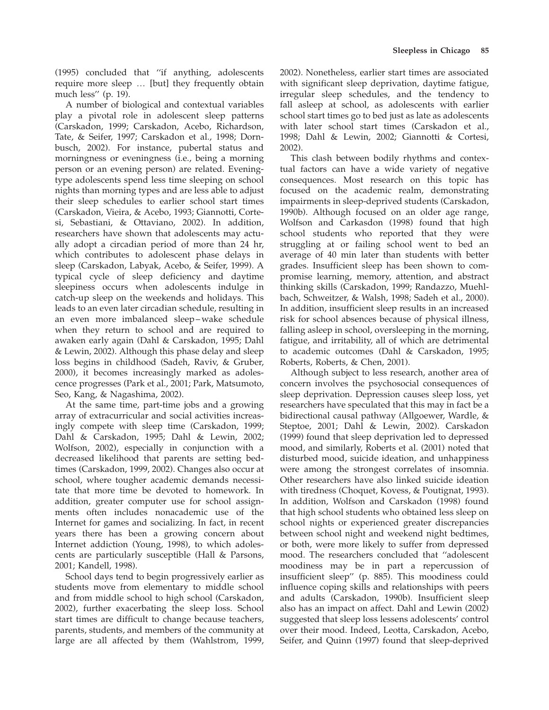(1995) concluded that ''if anything, adolescents require more sleep ... [but] they frequently obtain much less'' (p. 19).

A number of biological and contextual variables play a pivotal role in adolescent sleep patterns (Carskadon, 1999; Carskadon, Acebo, Richardson, Tate, & Seifer, 1997; Carskadon et al., 1998; Dornbusch, 2002). For instance, pubertal status and morningness or eveningness (i.e., being a morning person or an evening person) are related. Eveningtype adolescents spend less time sleeping on school nights than morning types and are less able to adjust their sleep schedules to earlier school start times (Carskadon, Vieira, & Acebo, 1993; Giannotti, Cortesi, Sebastiani, & Ottaviano, 2002). In addition, researchers have shown that adolescents may actually adopt a circadian period of more than 24 hr, which contributes to adolescent phase delays in sleep (Carskadon, Labyak, Acebo, & Seifer, 1999). A typical cycle of sleep deficiency and daytime sleepiness occurs when adolescents indulge in catch-up sleep on the weekends and holidays. This leads to an even later circadian schedule, resulting in an even more imbalanced sleep – wake schedule when they return to school and are required to awaken early again (Dahl & Carskadon, 1995; Dahl & Lewin, 2002). Although this phase delay and sleep loss begins in childhood (Sadeh, Raviv, & Gruber, 2000), it becomes increasingly marked as adolescence progresses (Park et al., 2001; Park, Matsumoto, Seo, Kang, & Nagashima, 2002).

At the same time, part-time jobs and a growing array of extracurricular and social activities increasingly compete with sleep time (Carskadon, 1999; Dahl & Carskadon, 1995; Dahl & Lewin, 2002; Wolfson, 2002), especially in conjunction with a decreased likelihood that parents are setting bedtimes (Carskadon, 1999, 2002). Changes also occur at school, where tougher academic demands necessitate that more time be devoted to homework. In addition, greater computer use for school assignments often includes nonacademic use of the Internet for games and socializing. In fact, in recent years there has been a growing concern about Internet addiction (Young, 1998), to which adolescents are particularly susceptible (Hall & Parsons, 2001; Kandell, 1998).

School days tend to begin progressively earlier as students move from elementary to middle school and from middle school to high school (Carskadon, 2002), further exacerbating the sleep loss. School start times are difficult to change because teachers, parents, students, and members of the community at large are all affected by them (Wahlstrom, 1999,

2002). Nonetheless, earlier start times are associated with significant sleep deprivation, daytime fatigue, irregular sleep schedules, and the tendency to fall asleep at school, as adolescents with earlier school start times go to bed just as late as adolescents with later school start times (Carskadon et al., 1998; Dahl & Lewin, 2002; Giannotti & Cortesi, 2002).

This clash between bodily rhythms and contextual factors can have a wide variety of negative consequences. Most research on this topic has focused on the academic realm, demonstrating impairments in sleep-deprived students (Carskadon, 1990b). Although focused on an older age range, Wolfson and Carkasdon (1998) found that high school students who reported that they were struggling at or failing school went to bed an average of 40 min later than students with better grades. Insufficient sleep has been shown to compromise learning, memory, attention, and abstract thinking skills (Carskadon, 1999; Randazzo, Muehlbach, Schweitzer, & Walsh, 1998; Sadeh et al., 2000). In addition, insufficient sleep results in an increased risk for school absences because of physical illness, falling asleep in school, oversleeping in the morning, fatigue, and irritability, all of which are detrimental to academic outcomes (Dahl & Carskadon, 1995; Roberts, Roberts, & Chen, 2001).

Although subject to less research, another area of concern involves the psychosocial consequences of sleep deprivation. Depression causes sleep loss, yet researchers have speculated that this may in fact be a bidirectional causal pathway (Allgoewer, Wardle, & Steptoe, 2001; Dahl & Lewin, 2002). Carskadon (1999) found that sleep deprivation led to depressed mood, and similarly, Roberts et al. (2001) noted that disturbed mood, suicide ideation, and unhappiness were among the strongest correlates of insomnia. Other researchers have also linked suicide ideation with tiredness (Choquet, Kovess, & Poutignat, 1993). In addition, Wolfson and Carskadon (1998) found that high school students who obtained less sleep on school nights or experienced greater discrepancies between school night and weekend night bedtimes, or both, were more likely to suffer from depressed mood. The researchers concluded that ''adolescent moodiness may be in part a repercussion of insufficient sleep'' (p. 885). This moodiness could influence coping skills and relationships with peers and adults (Carskadon, 1990b). Insufficient sleep also has an impact on affect. Dahl and Lewin (2002) suggested that sleep loss lessens adolescents' control over their mood. Indeed, Leotta, Carskadon, Acebo, Seifer, and Quinn (1997) found that sleep-deprived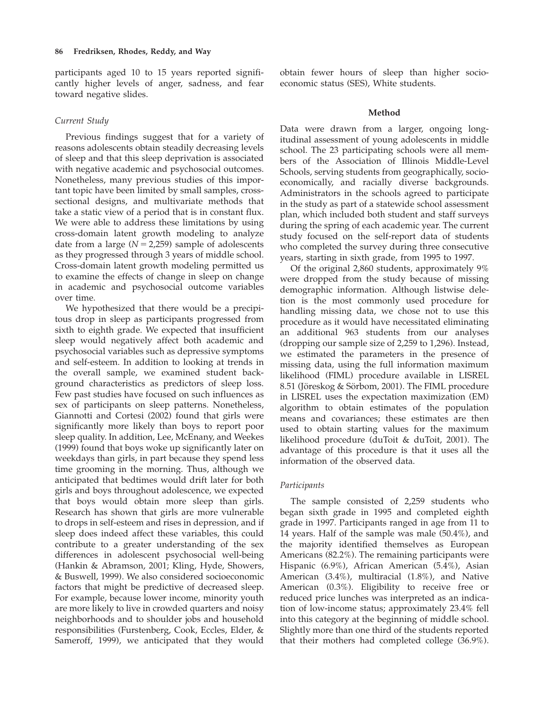participants aged 10 to 15 years reported significantly higher levels of anger, sadness, and fear toward negative slides.

# Current Study

Previous findings suggest that for a variety of reasons adolescents obtain steadily decreasing levels of sleep and that this sleep deprivation is associated with negative academic and psychosocial outcomes. Nonetheless, many previous studies of this important topic have been limited by small samples, crosssectional designs, and multivariate methods that take a static view of a period that is in constant flux. We were able to address these limitations by using cross-domain latent growth modeling to analyze date from a large  $(N = 2,259)$  sample of adolescents as they progressed through 3 years of middle school. Cross-domain latent growth modeling permitted us to examine the effects of change in sleep on change in academic and psychosocial outcome variables over time.

We hypothesized that there would be a precipitous drop in sleep as participants progressed from sixth to eighth grade. We expected that insufficient sleep would negatively affect both academic and psychosocial variables such as depressive symptoms and self-esteem. In addition to looking at trends in the overall sample, we examined student background characteristics as predictors of sleep loss. Few past studies have focused on such influences as sex of participants on sleep patterns. Nonetheless, Giannotti and Cortesi (2002) found that girls were significantly more likely than boys to report poor sleep quality. In addition, Lee, McEnany, and Weekes (1999) found that boys woke up significantly later on weekdays than girls, in part because they spend less time grooming in the morning. Thus, although we anticipated that bedtimes would drift later for both girls and boys throughout adolescence, we expected that boys would obtain more sleep than girls. Research has shown that girls are more vulnerable to drops in self-esteem and rises in depression, and if sleep does indeed affect these variables, this could contribute to a greater understanding of the sex differences in adolescent psychosocial well-being (Hankin & Abramson, 2001; Kling, Hyde, Showers, & Buswell, 1999). We also considered socioeconomic factors that might be predictive of decreased sleep. For example, because lower income, minority youth are more likely to live in crowded quarters and noisy neighborhoods and to shoulder jobs and household responsibilities (Furstenberg, Cook, Eccles, Elder, & Sameroff, 1999), we anticipated that they would

obtain fewer hours of sleep than higher socioeconomic status (SES), White students.

#### Method

Data were drawn from a larger, ongoing longitudinal assessment of young adolescents in middle school. The 23 participating schools were all members of the Association of Illinois Middle-Level Schools, serving students from geographically, socioeconomically, and racially diverse backgrounds. Administrators in the schools agreed to participate in the study as part of a statewide school assessment plan, which included both student and staff surveys during the spring of each academic year. The current study focused on the self-report data of students who completed the survey during three consecutive years, starting in sixth grade, from 1995 to 1997.

Of the original 2,860 students, approximately 9% were dropped from the study because of missing demographic information. Although listwise deletion is the most commonly used procedure for handling missing data, we chose not to use this procedure as it would have necessitated eliminating an additional 963 students from our analyses (dropping our sample size of 2,259 to 1,296). Instead, we estimated the parameters in the presence of missing data, using the full information maximum likelihood (FIML) procedure available in LISREL 8.51 (Jöreskog & Sörbom, 2001). The FIML procedure in LISREL uses the expectation maximization (EM) algorithm to obtain estimates of the population means and covariances; these estimates are then used to obtain starting values for the maximum likelihood procedure (duToit & duToit, 2001). The advantage of this procedure is that it uses all the information of the observed data.

#### Participants

The sample consisted of 2,259 students who began sixth grade in 1995 and completed eighth grade in 1997. Participants ranged in age from 11 to 14 years. Half of the sample was male (50.4%), and the majority identified themselves as European Americans (82.2%). The remaining participants were Hispanic (6.9%), African American (5.4%), Asian American (3.4%), multiracial (1.8%), and Native American (0.3%). Eligibility to receive free or reduced price lunches was interpreted as an indication of low-income status; approximately 23.4% fell into this category at the beginning of middle school. Slightly more than one third of the students reported that their mothers had completed college (36.9%).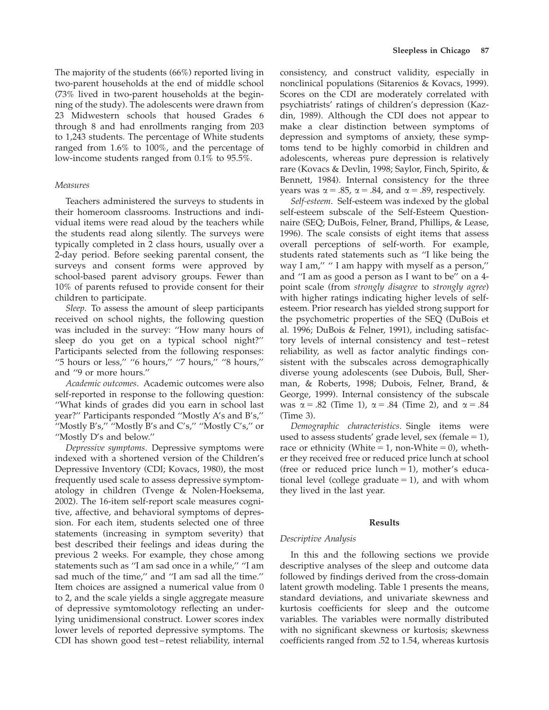The majority of the students (66%) reported living in two-parent households at the end of middle school (73% lived in two-parent households at the beginning of the study). The adolescents were drawn from 23 Midwestern schools that housed Grades 6 through 8 and had enrollments ranging from 203 to 1,243 students. The percentage of White students ranged from 1.6% to 100%, and the percentage of low-income students ranged from 0.1% to 95.5%.

# Measures

Teachers administered the surveys to students in their homeroom classrooms. Instructions and individual items were read aloud by the teachers while the students read along silently. The surveys were typically completed in 2 class hours, usually over a 2-day period. Before seeking parental consent, the surveys and consent forms were approved by school-based parent advisory groups. Fewer than 10% of parents refused to provide consent for their children to participate.

Sleep. To assess the amount of sleep participants received on school nights, the following question was included in the survey: ''How many hours of sleep do you get on a typical school night?'' Participants selected from the following responses: ''5 hours or less,'' ''6 hours,'' ''7 hours,'' ''8 hours,'' and ''9 or more hours.''

Academic outcomes. Academic outcomes were also self-reported in response to the following question: ''What kinds of grades did you earn in school last year?'' Participants responded ''Mostly A's and B's,'' ''Mostly B's,'' ''Mostly B's and C's,'' ''Mostly C's,'' or ''Mostly D's and below.''

Depressive symptoms. Depressive symptoms were indexed with a shortened version of the Children's Depressive Inventory (CDI; Kovacs, 1980), the most frequently used scale to assess depressive symptomatology in children (Tvenge & Nolen-Hoeksema, 2002). The 16-item self-report scale measures cognitive, affective, and behavioral symptoms of depression. For each item, students selected one of three statements (increasing in symptom severity) that best described their feelings and ideas during the previous 2 weeks. For example, they chose among statements such as ''I am sad once in a while,'' ''I am sad much of the time,'' and ''I am sad all the time.'' Item choices are assigned a numerical value from 0 to 2, and the scale yields a single aggregate measure of depressive symtomolotogy reflecting an underlying unidimensional construct. Lower scores index lower levels of reported depressive symptoms. The CDI has shown good test-retest reliability, internal

consistency, and construct validity, especially in nonclinical populations (Sitarenios & Kovacs, 1999). Scores on the CDI are moderately correlated with psychiatrists' ratings of children's depression (Kazdin, 1989). Although the CDI does not appear to make a clear distinction between symptoms of depression and symptoms of anxiety, these symptoms tend to be highly comorbid in children and adolescents, whereas pure depression is relatively rare (Kovacs & Devlin, 1998; Saylor, Finch, Spirito, & Bennett, 1984). Internal consistency for the three years was  $\alpha = .85$ ,  $\alpha = .84$ , and  $\alpha = .89$ , respectively.

Self-esteem. Self-esteem was indexed by the global self-esteem subscale of the Self-Esteem Questionnaire (SEQ; DuBois, Felner, Brand, Phillips, & Lease, 1996). The scale consists of eight items that assess overall perceptions of self-worth. For example, students rated statements such as ''I like being the way I am,'' '' I am happy with myself as a person,'' and ''I am as good a person as I want to be'' on a 4 point scale (from strongly disagree to strongly agree) with higher ratings indicating higher levels of selfesteem. Prior research has yielded strong support for the psychometric properties of the SEQ (DuBois et al. 1996; DuBois & Felner, 1991), including satisfactory levels of internal consistency and test-retest reliability, as well as factor analytic findings consistent with the subscales across demographically diverse young adolescents (see Dubois, Bull, Sherman, & Roberts, 1998; Dubois, Felner, Brand, & George, 1999). Internal consistency of the subscale was  $\alpha = .82$  (Time 1),  $\alpha = .84$  (Time 2), and  $\alpha = .84$ (Time 3).

Demographic characteristics. Single items were used to assess students' grade level, sex (female  $= 1$ ), race or ethnicity (White  $= 1$ , non-White  $= 0$ ), whether they received free or reduced price lunch at school (free or reduced price lunch  $= 1$ ), mother's educational level (college graduate  $= 1$ ), and with whom they lived in the last year.

# Results

# Descriptive Analysis

In this and the following sections we provide descriptive analyses of the sleep and outcome data followed by findings derived from the cross-domain latent growth modeling. Table 1 presents the means, standard deviations, and univariate skewness and kurtosis coefficients for sleep and the outcome variables. The variables were normally distributed with no significant skewness or kurtosis; skewness coefficients ranged from .52 to 1.54, whereas kurtosis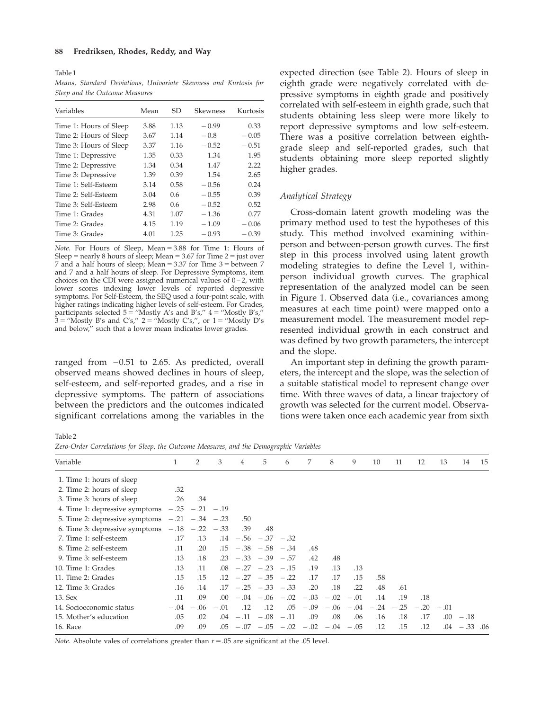# 88 Fredriksen, Rhodes, Reddy, and Way

Table 1 Means, Standard Deviations, Univariate Skewness and Kurtosis for Sleep and the Outcome Measures

| Variables              | Mean | SD.           | <b>Skewness</b> | Kurtosis |  |  |  |
|------------------------|------|---------------|-----------------|----------|--|--|--|
| Time 1: Hours of Sleep | 3.88 | 1.13          | $-0.99$         | 0.33     |  |  |  |
| Time 2: Hours of Sleep | 3.67 | 1.14          | $-0.8$          | $-0.05$  |  |  |  |
| Time 3: Hours of Sleep | 3.37 | 1.16          | $-0.52$         | $-0.51$  |  |  |  |
| Time 1: Depressive     | 1.35 | 0.33          | 1.34            | 1.95     |  |  |  |
| Time 2: Depressive     | 1.34 | 0.34          | 1.47            | 2.22     |  |  |  |
| Time 3: Depressive     | 1.39 | 0.39          | 1.54            | 2.65     |  |  |  |
| Time 1: Self-Esteem    | 3.14 | 0.58          | $-0.56$         | 0.24     |  |  |  |
| Time 2: Self-Esteem    | 3.04 | $0.6^{\circ}$ | $-0.55$         | 0.39     |  |  |  |
| Time 3: Self-Esteem    | 2.98 | 0.6           | $-0.52$         | 0.52     |  |  |  |
| Time 1: Grades         | 4.31 | 1.07          | $-1.36$         | 0.77     |  |  |  |
| Time 2: Grades         | 4.15 | 1.19          | $-1.09$         | $-0.06$  |  |  |  |
| Time 3: Grades         | 4.01 | 1.25          | $-0.93$         | $-0.39$  |  |  |  |
|                        |      |               |                 |          |  |  |  |

Note. For Hours of Sleep, Mean = 3.88 for Time 1: Hours of Sleep = nearly 8 hours of sleep; Mean =  $3.67$  for Time  $2 =$  just over 7 and a half hours of sleep; Mean  $= 3.37$  for Time 3  $=$  between 7 and 7 and a half hours of sleep. For Depressive Symptoms, item choices on the CDI were assigned numerical values of  $0-2$ , with lower scores indexing lower levels of reported depressive symptoms. For Self-Esteem, the SEQ used a four-point scale, with higher ratings indicating higher levels of self-esteem. For Grades, participants selected  $5 =$  "Mostly A's and B's,"  $4 =$  "Mostly B's,"  $3$  = "Mostly B's and C's,"  $2$  = "Mostly C's,", or  $1$  = "Mostly D's and below,'' such that a lower mean indicates lower grades.

ranged from  $-0.51$  to 2.65. As predicted, overall observed means showed declines in hours of sleep, self-esteem, and self-reported grades, and a rise in depressive symptoms. The pattern of associations between the predictors and the outcomes indicated significant correlations among the variables in the

expected direction (see Table 2). Hours of sleep in eighth grade were negatively correlated with depressive symptoms in eighth grade and positively correlated with self-esteem in eighth grade, such that students obtaining less sleep were more likely to report depressive symptoms and low self-esteem. There was a positive correlation between eighthgrade sleep and self-reported grades, such that students obtaining more sleep reported slightly higher grades.

# Analytical Strategy

Cross-domain latent growth modeling was the primary method used to test the hypotheses of this study. This method involved examining withinperson and between-person growth curves. The first step in this process involved using latent growth modeling strategies to define the Level 1, withinperson individual growth curves. The graphical representation of the analyzed model can be seen in Figure 1. Observed data (i.e., covariances among measures at each time point) were mapped onto a measurement model. The measurement model represented individual growth in each construct and was defined by two growth parameters, the intercept and the slope.

An important step in defining the growth parameters, the intercept and the slope, was the selection of a suitable statistical model to represent change over time. With three waves of data, a linear trajectory of growth was selected for the current model. Observations were taken once each academic year from sixth

Table 2

Zero-Order Correlations for Sleep, the Outcome Measures, and the Demographic Variables

| Variable                                            | 1      | 2                    | 3       | 4   | 5                       | 6 | 7                                         | 8   | 9                             | 10  | 11     | 12         | 13      | 14         | -15 |
|-----------------------------------------------------|--------|----------------------|---------|-----|-------------------------|---|-------------------------------------------|-----|-------------------------------|-----|--------|------------|---------|------------|-----|
| 1. Time 1: hours of sleep                           |        |                      |         |     |                         |   |                                           |     |                               |     |        |            |         |            |     |
| 2. Time 2: hours of sleep                           | .32    |                      |         |     |                         |   |                                           |     |                               |     |        |            |         |            |     |
| 3. Time 3: hours of sleep                           | .26    | .34                  |         |     |                         |   |                                           |     |                               |     |        |            |         |            |     |
| 4. Time 1: depressive symptoms                      |        | $-.25$ $-.21$ $-.19$ |         |     |                         |   |                                           |     |                               |     |        |            |         |            |     |
| 5. Time 2: depressive symptoms                      |        | $-.21 - .34 - .23$   |         | .50 |                         |   |                                           |     |                               |     |        |            |         |            |     |
| 6. Time 3: depressive symptoms $-.18$ $-.22$ $-.33$ |        |                      |         | .39 | .48                     |   |                                           |     |                               |     |        |            |         |            |     |
| 7. Time 1: self-esteem                              | .17    | .13                  |         |     | $.14 - .56 - .37 - .32$ |   |                                           |     |                               |     |        |            |         |            |     |
| 8. Time 2: self-esteem                              | .11    | .20                  |         |     | $.15 - .38 - .58 - .34$ |   | .48                                       |     |                               |     |        |            |         |            |     |
| 9. Time 3: self-esteem                              | .13    | $.18\,$              |         |     | $.23 - .33 - .39 - .57$ |   | .42                                       | .48 |                               |     |        |            |         |            |     |
| 10. Time 1: Grades                                  | .13    | .11                  |         |     | $.08 - .27 - .23 - .15$ |   | .19                                       | .13 | .13                           |     |        |            |         |            |     |
| 11. Time 2: Grades                                  | .15    | .15                  |         |     | $.12 - .27 - .35 - .22$ |   | .17                                       | .17 | .15                           | .58 |        |            |         |            |     |
| 12. Time 3: Grades                                  | .16    | .14                  |         |     | $.17 - .25 - .33 - .33$ |   | .20                                       | .18 | .22                           | .48 | .61    |            |         |            |     |
| 13. Sex                                             | .11    | .09                  | $.00\,$ |     |                         |   | $-.04$ $-.06$ $-.02$ $-.03$ $-.02$        |     | $-.01$                        | .14 | .19    | .18        |         |            |     |
| 14. Socioeconomic status                            | $-.04$ | $-.06$               | $-.01$  | .12 | .12                     |   |                                           |     | $.05 - .09 - .06 - .04 - .24$ |     | $-.25$ | $-.20-.01$ |         |            |     |
| 15. Mother's education                              | .05    | .02                  | .04     |     | $-.11$ $-.08$ $-.11$    |   | .09                                       | .08 | .06                           | .16 | .18    | .17        | $.00\,$ | $-.18$     |     |
| 16. Race                                            | .09    | .09                  | .05     |     |                         |   | $-.07$ $-.05$ $-.02$ $-.02$ $-.04$ $-.05$ |     |                               | .12 | .15    | .12        | .04     | $-.33$ .06 |     |
|                                                     |        |                      |         |     |                         |   |                                           |     |                               |     |        |            |         |            |     |

Note. Absolute vales of correlations greater than  $r = .05$  are significant at the .05 level.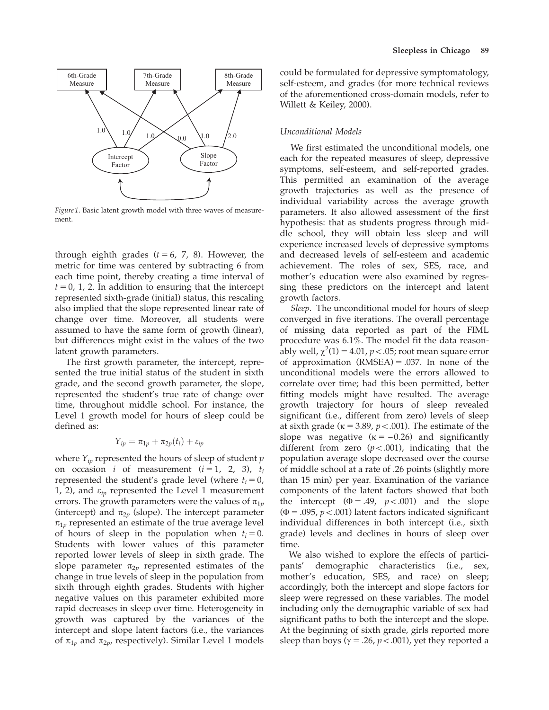

Figure 1. Basic latent growth model with three waves of measurement.

through eighth grades  $(t = 6, 7, 8)$ . However, the metric for time was centered by subtracting 6 from each time point, thereby creating a time interval of  $t = 0$ , 1, 2. In addition to ensuring that the intercept represented sixth-grade (initial) status, this rescaling also implied that the slope represented linear rate of change over time. Moreover, all students were assumed to have the same form of growth (linear), but differences might exist in the values of the two latent growth parameters.

The first growth parameter, the intercept, represented the true initial status of the student in sixth grade, and the second growth parameter, the slope, represented the student's true rate of change over time, throughout middle school. For instance, the Level 1 growth model for hours of sleep could be defined as:

$$
Y_{ip} = \pi_{1p} + \pi_{2p}(t_i) + \varepsilon_{ip}
$$

where  $Y_{ip}$  represented the hours of sleep of student  $p$ on occasion *i* of measurement  $(i = 1, 2, 3)$ ,  $t_i$ represented the student's grade level (where  $t_i = 0$ , 1, 2), and  $\varepsilon_{ip}$  represented the Level 1 measurement errors. The growth parameters were the values of  $\pi_{1p}$ (intercept) and  $\pi_{2p}$  (slope). The intercept parameter  $\pi_{1p}$  represented an estimate of the true average level of hours of sleep in the population when  $t_i = 0$ . Students with lower values of this parameter reported lower levels of sleep in sixth grade. The slope parameter  $\pi_{2p}$  represented estimates of the change in true levels of sleep in the population from sixth through eighth grades. Students with higher negative values on this parameter exhibited more rapid decreases in sleep over time. Heterogeneity in growth was captured by the variances of the intercept and slope latent factors (i.e., the variances of  $\pi_{1p}$  and  $\pi_{2p}$ , respectively). Similar Level 1 models

could be formulated for depressive symptomatology, self-esteem, and grades (for more technical reviews of the aforementioned cross-domain models, refer to Willett & Keiley, 2000).

# Unconditional Models

We first estimated the unconditional models, one each for the repeated measures of sleep, depressive symptoms, self-esteem, and self-reported grades. This permitted an examination of the average growth trajectories as well as the presence of individual variability across the average growth parameters. It also allowed assessment of the first hypothesis: that as students progress through middle school, they will obtain less sleep and will experience increased levels of depressive symptoms and decreased levels of self-esteem and academic achievement. The roles of sex, SES, race, and mother's education were also examined by regressing these predictors on the intercept and latent growth factors.

Sleep. The unconditional model for hours of sleep converged in five iterations. The overall percentage of missing data reported as part of the FIML procedure was 6.1%. The model fit the data reasonably well,  $\chi^2(1) = 4.01$ ,  $p < .05$ ; root mean square error of approximation  $(RMSEA) = .037$ . In none of the unconditional models were the errors allowed to correlate over time; had this been permitted, better fitting models might have resulted. The average growth trajectory for hours of sleep revealed significant (i.e., different from zero) levels of sleep at sixth grade ( $\kappa$  = 3.89,  $p$  < .001). The estimate of the slope was negative  $(\kappa = -0.26)$  and significantly different from zero  $(p < .001)$ , indicating that the population average slope decreased over the course of middle school at a rate of .26 points (slightly more than 15 min) per year. Examination of the variance components of the latent factors showed that both the intercept ( $\Phi = .49$ ,  $p < .001$ ) and the slope ( $\Phi = .095$ ,  $p < .001$ ) latent factors indicated significant individual differences in both intercept (i.e., sixth grade) levels and declines in hours of sleep over time.

We also wished to explore the effects of participants' demographic characteristics (i.e., sex, mother's education, SES, and race) on sleep; accordingly, both the intercept and slope factors for sleep were regressed on these variables. The model including only the demographic variable of sex had significant paths to both the intercept and the slope. At the beginning of sixth grade, girls reported more sleep than boys ( $\gamma = .26$ ,  $p < .001$ ), yet they reported a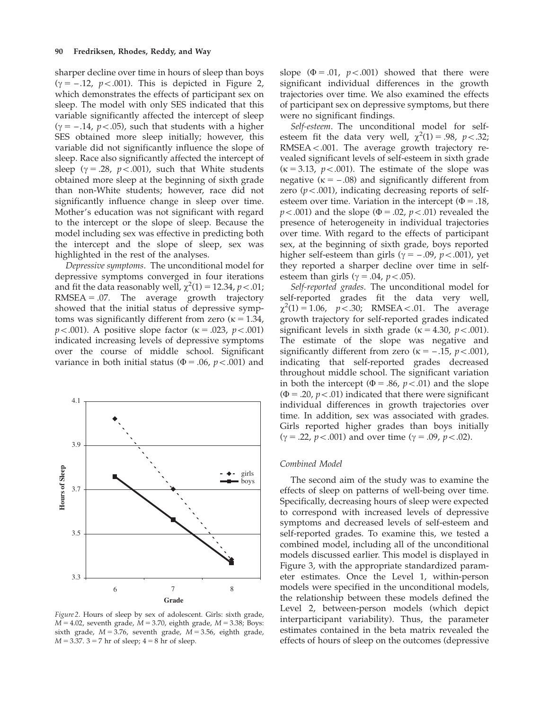sharper decline over time in hours of sleep than boys  $(y = -.12, p < .001)$ . This is depicted in Figure 2, which demonstrates the effects of participant sex on sleep. The model with only SES indicated that this variable significantly affected the intercept of sleep  $(y = -.14, p < .05)$ , such that students with a higher SES obtained more sleep initially; however, this variable did not significantly influence the slope of sleep. Race also significantly affected the intercept of sleep ( $\gamma = .28$ ,  $p < .001$ ), such that White students obtained more sleep at the beginning of sixth grade than non-White students; however, race did not significantly influence change in sleep over time. Mother's education was not significant with regard to the intercept or the slope of sleep. Because the model including sex was effective in predicting both the intercept and the slope of sleep, sex was highlighted in the rest of the analyses.

Depressive symptoms. The unconditional model for depressive symptoms converged in four iterations and fit the data reasonably well,  $\chi^2(1) = 12.34$ ,  $p < .01$ ;  $RMSEA = .07$ . The average growth trajectory showed that the initial status of depressive symptoms was significantly different from zero  $(\kappa = 1.34)$ ,  $p < .001$ ). A positive slope factor ( $\kappa = .023$ ,  $p < .001$ ) indicated increasing levels of depressive symptoms over the course of middle school. Significant variance in both initial status ( $\Phi = .06$ ,  $p < .001$ ) and



Figure 2. Hours of sleep by sex of adolescent. Girls: sixth grade,  $M = 4.02$ , seventh grade,  $M = 3.70$ , eighth grade,  $M = 3.38$ ; Boys: sixth grade,  $M = 3.76$ , seventh grade,  $M = 3.56$ , eighth grade,  $M = 3.37$ .  $3 = 7$  hr of sleep;  $4 = 8$  hr of sleep.

slope ( $\Phi = .01$ ,  $p < .001$ ) showed that there were significant individual differences in the growth trajectories over time. We also examined the effects of participant sex on depressive symptoms, but there were no significant findings.

Self-esteem. The unconditional model for selfesteem fit the data very well,  $\chi^2(1) = .98$ ,  $p < .32$ ;  $RMSEA < .001$ . The average growth trajectory revealed significant levels of self-esteem in sixth grade  $(k = 3.13, p < .001)$ . The estimate of the slope was negative ( $\kappa = -.08$ ) and significantly different from zero  $(p<.001)$ , indicating decreasing reports of selfesteem over time. Variation in the intercept ( $\Phi = .18$ ,  $p<.001$ ) and the slope ( $\Phi = .02$ ,  $p<.01$ ) revealed the presence of heterogeneity in individual trajectories over time. With regard to the effects of participant sex, at the beginning of sixth grade, boys reported higher self-esteem than girls ( $\gamma = -.09$ ,  $p < .001$ ), yet they reported a sharper decline over time in selfesteem than girls ( $\gamma = .04$ ,  $p < .05$ ).

Self-reported grades. The unconditional model for self-reported grades fit the data very well,  $\chi^2(1) = 1.06$ ,  $p < .30$ ; RMSEA < .01. The average growth trajectory for self-reported grades indicated significant levels in sixth grade ( $\kappa = 4.30$ ,  $p < .001$ ). The estimate of the slope was negative and significantly different from zero ( $\kappa = -.15$ ,  $p < .001$ ), indicating that self-reported grades decreased throughout middle school. The significant variation in both the intercept ( $\Phi = .86$ ,  $p < .01$ ) and the slope ( $\Phi = .20$ ,  $p < .01$ ) indicated that there were significant individual differences in growth trajectories over time. In addition, sex was associated with grades. Girls reported higher grades than boys initially ( $\gamma$  = .22, *p* < .001) and over time ( $\gamma$  = .09, *p* < .02).

# Combined Model

The second aim of the study was to examine the effects of sleep on patterns of well-being over time. Specifically, decreasing hours of sleep were expected to correspond with increased levels of depressive symptoms and decreased levels of self-esteem and self-reported grades. To examine this, we tested a combined model, including all of the unconditional models discussed earlier. This model is displayed in Figure 3, with the appropriate standardized parameter estimates. Once the Level 1, within-person models were specified in the unconditional models, the relationship between these models defined the Level 2, between-person models (which depict interparticipant variability). Thus, the parameter estimates contained in the beta matrix revealed the effects of hours of sleep on the outcomes (depressive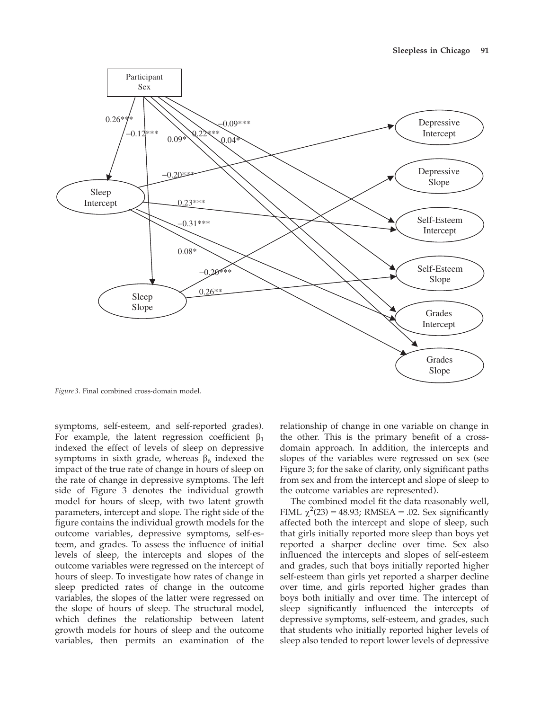

Figure 3. Final combined cross-domain model.

symptoms, self-esteem, and self-reported grades). For example, the latent regression coefficient  $\beta_1$ indexed the effect of levels of sleep on depressive symptoms in sixth grade, whereas  $\beta_6$  indexed the impact of the true rate of change in hours of sleep on the rate of change in depressive symptoms. The left side of Figure 3 denotes the individual growth model for hours of sleep, with two latent growth parameters, intercept and slope. The right side of the figure contains the individual growth models for the outcome variables, depressive symptoms, self-esteem, and grades. To assess the influence of initial levels of sleep, the intercepts and slopes of the outcome variables were regressed on the intercept of hours of sleep. To investigate how rates of change in sleep predicted rates of change in the outcome variables, the slopes of the latter were regressed on the slope of hours of sleep. The structural model, which defines the relationship between latent growth models for hours of sleep and the outcome variables, then permits an examination of the relationship of change in one variable on change in the other. This is the primary benefit of a crossdomain approach. In addition, the intercepts and slopes of the variables were regressed on sex (see Figure 3; for the sake of clarity, only significant paths from sex and from the intercept and slope of sleep to the outcome variables are represented).

The combined model fit the data reasonably well, FIML  $\chi^2(23) = 48.93$ ; RMSEA = .02. Sex significantly affected both the intercept and slope of sleep, such that girls initially reported more sleep than boys yet reported a sharper decline over time. Sex also influenced the intercepts and slopes of self-esteem and grades, such that boys initially reported higher self-esteem than girls yet reported a sharper decline over time, and girls reported higher grades than boys both initially and over time. The intercept of sleep significantly influenced the intercepts of depressive symptoms, self-esteem, and grades, such that students who initially reported higher levels of sleep also tended to report lower levels of depressive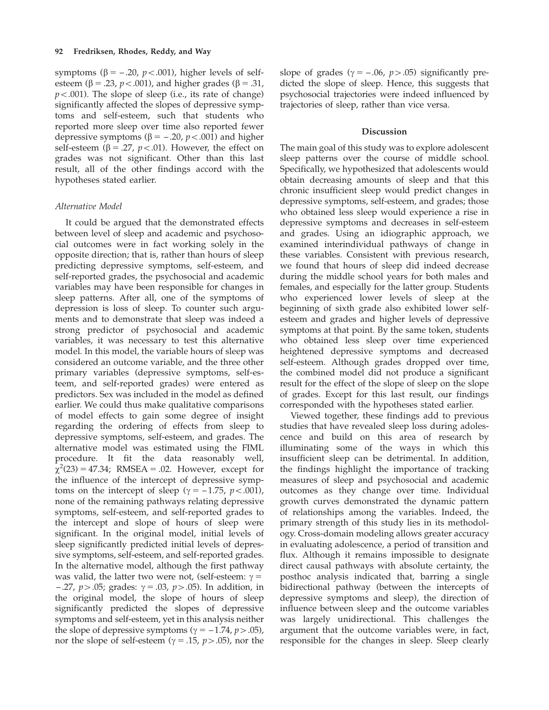symptoms ( $\beta$  = -.20, p <.001), higher levels of selfesteem ( $\beta$  = .23,  $p$  < .001), and higher grades ( $\beta$  = .31,  $p$ <.001). The slope of sleep (i.e., its rate of change) significantly affected the slopes of depressive symptoms and self-esteem, such that students who reported more sleep over time also reported fewer depressive symptoms ( $\beta$  = -.20,  $p$  <.001) and higher self-esteem ( $\beta$  = .27,  $p$  < .01). However, the effect on grades was not significant. Other than this last result, all of the other findings accord with the hypotheses stated earlier.

## Alternative Model

It could be argued that the demonstrated effects between level of sleep and academic and psychosocial outcomes were in fact working solely in the opposite direction; that is, rather than hours of sleep predicting depressive symptoms, self-esteem, and self-reported grades, the psychosocial and academic variables may have been responsible for changes in sleep patterns. After all, one of the symptoms of depression is loss of sleep. To counter such arguments and to demonstrate that sleep was indeed a strong predictor of psychosocial and academic variables, it was necessary to test this alternative model. In this model, the variable hours of sleep was considered an outcome variable, and the three other primary variables (depressive symptoms, self-esteem, and self-reported grades) were entered as predictors. Sex was included in the model as defined earlier. We could thus make qualitative comparisons of model effects to gain some degree of insight regarding the ordering of effects from sleep to depressive symptoms, self-esteem, and grades. The alternative model was estimated using the FIML procedure. It fit the data reasonably well,  $\chi^2$ (23) = 47.34; RMSEA = .02. However, except for the influence of the intercept of depressive symptoms on the intercept of sleep ( $\gamma = -1.75$ ,  $p < .001$ ), none of the remaining pathways relating depressive symptoms, self-esteem, and self-reported grades to the intercept and slope of hours of sleep were significant. In the original model, initial levels of sleep significantly predicted initial levels of depressive symptoms, self-esteem, and self-reported grades. In the alternative model, although the first pathway was valid, the latter two were not, (self-esteem:  $\gamma$  =  $-0.27$ ,  $p > 0.05$ ; grades:  $\gamma = 0.03$ ,  $p > 0.05$ ). In addition, in the original model, the slope of hours of sleep significantly predicted the slopes of depressive symptoms and self-esteem, yet in this analysis neither the slope of depressive symptoms ( $\gamma = -1.74$ ,  $p > .05$ ), nor the slope of self-esteem ( $\gamma = .15$ ,  $p > .05$ ), nor the slope of grades ( $\gamma = -.06$ ,  $p > .05$ ) significantly predicted the slope of sleep. Hence, this suggests that psychosocial trajectories were indeed influenced by trajectories of sleep, rather than vice versa.

#### Discussion

The main goal of this study was to explore adolescent sleep patterns over the course of middle school. Specifically, we hypothesized that adolescents would obtain decreasing amounts of sleep and that this chronic insufficient sleep would predict changes in depressive symptoms, self-esteem, and grades; those who obtained less sleep would experience a rise in depressive symptoms and decreases in self-esteem and grades. Using an idiographic approach, we examined interindividual pathways of change in these variables. Consistent with previous research, we found that hours of sleep did indeed decrease during the middle school years for both males and females, and especially for the latter group. Students who experienced lower levels of sleep at the beginning of sixth grade also exhibited lower selfesteem and grades and higher levels of depressive symptoms at that point. By the same token, students who obtained less sleep over time experienced heightened depressive symptoms and decreased self-esteem. Although grades dropped over time, the combined model did not produce a significant result for the effect of the slope of sleep on the slope of grades. Except for this last result, our findings corresponded with the hypotheses stated earlier.

Viewed together, these findings add to previous studies that have revealed sleep loss during adolescence and build on this area of research by illuminating some of the ways in which this insufficient sleep can be detrimental. In addition, the findings highlight the importance of tracking measures of sleep and psychosocial and academic outcomes as they change over time. Individual growth curves demonstrated the dynamic pattern of relationships among the variables. Indeed, the primary strength of this study lies in its methodology. Cross-domain modeling allows greater accuracy in evaluating adolescence, a period of transition and flux. Although it remains impossible to designate direct causal pathways with absolute certainty, the posthoc analysis indicated that, barring a single bidirectional pathway (between the intercepts of depressive symptoms and sleep), the direction of influence between sleep and the outcome variables was largely unidirectional. This challenges the argument that the outcome variables were, in fact, responsible for the changes in sleep. Sleep clearly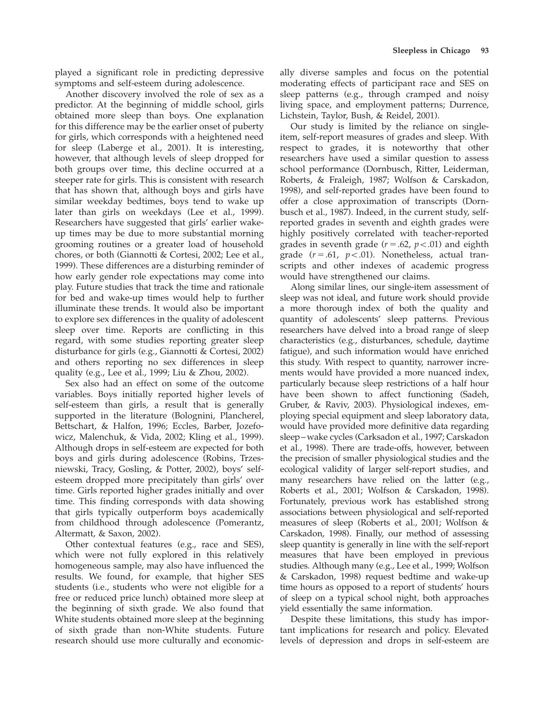played a significant role in predicting depressive symptoms and self-esteem during adolescence.

Another discovery involved the role of sex as a predictor. At the beginning of middle school, girls obtained more sleep than boys. One explanation for this difference may be the earlier onset of puberty for girls, which corresponds with a heightened need for sleep (Laberge et al., 2001). It is interesting, however, that although levels of sleep dropped for both groups over time, this decline occurred at a steeper rate for girls. This is consistent with research that has shown that, although boys and girls have similar weekday bedtimes, boys tend to wake up later than girls on weekdays (Lee et al., 1999). Researchers have suggested that girls' earlier wakeup times may be due to more substantial morning grooming routines or a greater load of household chores, or both (Giannotti & Cortesi, 2002; Lee et al., 1999). These differences are a disturbing reminder of how early gender role expectations may come into play. Future studies that track the time and rationale for bed and wake-up times would help to further illuminate these trends. It would also be important to explore sex differences in the quality of adolescent sleep over time. Reports are conflicting in this regard, with some studies reporting greater sleep disturbance for girls (e.g., Giannotti & Cortesi, 2002) and others reporting no sex differences in sleep quality (e.g., Lee et al., 1999; Liu & Zhou, 2002).

Sex also had an effect on some of the outcome variables. Boys initially reported higher levels of self-esteem than girls, a result that is generally supported in the literature (Bolognini, Plancherel, Bettschart, & Halfon, 1996; Eccles, Barber, Jozefowicz, Malenchuk, & Vida, 2002; Kling et al., 1999). Although drops in self-esteem are expected for both boys and girls during adolescence (Robins, Trzesniewski, Tracy, Gosling, & Potter, 2002), boys' selfesteem dropped more precipitately than girls' over time. Girls reported higher grades initially and over time. This finding corresponds with data showing that girls typically outperform boys academically from childhood through adolescence (Pomerantz, Altermatt, & Saxon, 2002).

Other contextual features (e.g., race and SES), which were not fully explored in this relatively homogeneous sample, may also have influenced the results. We found, for example, that higher SES students (i.e., students who were not eligible for a free or reduced price lunch) obtained more sleep at the beginning of sixth grade. We also found that White students obtained more sleep at the beginning of sixth grade than non-White students. Future research should use more culturally and economically diverse samples and focus on the potential moderating effects of participant race and SES on sleep patterns (e.g., through cramped and noisy living space, and employment patterns; Durrence, Lichstein, Taylor, Bush, & Reidel, 2001).

Our study is limited by the reliance on singleitem, self-report measures of grades and sleep. With respect to grades, it is noteworthy that other researchers have used a similar question to assess school performance (Dornbusch, Ritter, Leiderman, Roberts, & Fraleigh, 1987; Wolfson & Carskadon, 1998), and self-reported grades have been found to offer a close approximation of transcripts (Dornbusch et al., 1987). Indeed, in the current study, selfreported grades in seventh and eighth grades were highly positively correlated with teacher-reported grades in seventh grade ( $r = .62$ ,  $p < .01$ ) and eighth grade  $(r=.61, p<.01)$ . Nonetheless, actual transcripts and other indexes of academic progress would have strengthened our claims.

Along similar lines, our single-item assessment of sleep was not ideal, and future work should provide a more thorough index of both the quality and quantity of adolescents' sleep patterns. Previous researchers have delved into a broad range of sleep characteristics (e.g., disturbances, schedule, daytime fatigue), and such information would have enriched this study. With respect to quantity, narrower increments would have provided a more nuanced index, particularly because sleep restrictions of a half hour have been shown to affect functioning (Sadeh, Gruber, & Raviv, 2003). Physiological indexes, employing special equipment and sleep laboratory data, would have provided more definitive data regarding sleep –wake cycles (Carksadon et al., 1997; Carskadon et al., 1998). There are trade-offs, however, between the precision of smaller physiological studies and the ecological validity of larger self-report studies, and many researchers have relied on the latter (e.g., Roberts et al., 2001; Wolfson & Carskadon, 1998). Fortunately, previous work has established strong associations between physiological and self-reported measures of sleep (Roberts et al., 2001; Wolfson & Carskadon, 1998). Finally, our method of assessing sleep quantity is generally in line with the self-report measures that have been employed in previous studies. Although many (e.g., Lee et al., 1999; Wolfson & Carskadon, 1998) request bedtime and wake-up time hours as opposed to a report of students' hours of sleep on a typical school night, both approaches yield essentially the same information.

Despite these limitations, this study has important implications for research and policy. Elevated levels of depression and drops in self-esteem are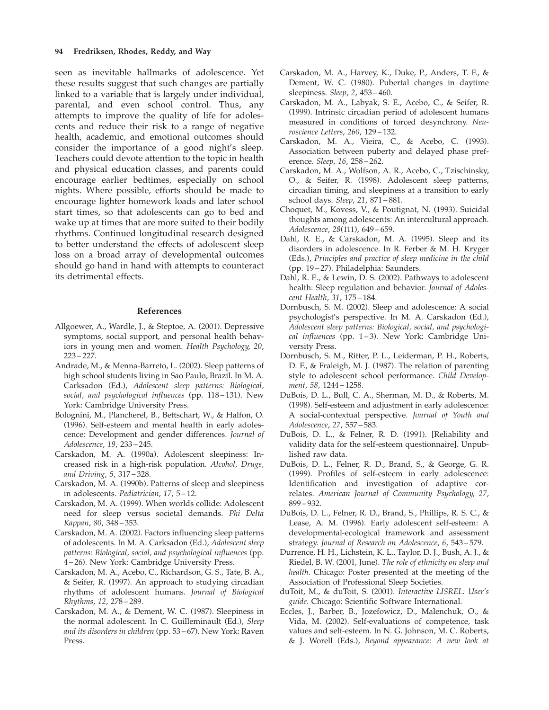seen as inevitable hallmarks of adolescence. Yet these results suggest that such changes are partially linked to a variable that is largely under individual, parental, and even school control. Thus, any attempts to improve the quality of life for adolescents and reduce their risk to a range of negative health, academic, and emotional outcomes should consider the importance of a good night's sleep. Teachers could devote attention to the topic in health and physical education classes, and parents could encourage earlier bedtimes, especially on school nights. Where possible, efforts should be made to encourage lighter homework loads and later school start times, so that adolescents can go to bed and wake up at times that are more suited to their bodily rhythms. Continued longitudinal research designed to better understand the effects of adolescent sleep loss on a broad array of developmental outcomes should go hand in hand with attempts to counteract its detrimental effects.

# References

- Allgoewer, A., Wardle, J., & Steptoe, A. (2001). Depressive symptoms, social support, and personal health behaviors in young men and women. Health Psychology, 20, 223 – 227.
- Andrade, M., & Menna-Barreto, L. (2002). Sleep patterns of high school students living in Sao Paulo, Brazil. In M. A. Carksadon (Ed.), Adolescent sleep patterns: Biological, social, and psychological influences (pp. 118-131). New York: Cambridge University Press.
- Bolognini, M., Plancherel, B., Bettschart, W., & Halfon, O. (1996). Self-esteem and mental health in early adolescence: Development and gender differences. Journal of Adolescence, 19, 233 – 245.
- Carskadon, M. A. (1990a). Adolescent sleepiness: Increased risk in a high-risk population. Alcohol, Drugs, and Driving, 5, 317 – 328.
- Carskadon, M. A. (1990b). Patterns of sleep and sleepiness in adolescents. Pediatrician, 17, 5 – 12.
- Carskadon, M. A. (1999). When worlds collide: Adolescent need for sleep versus societal demands. Phi Delta Kappan, 80, 348 – 353.
- Carskadon, M. A. (2002). Factors influencing sleep patterns of adolescents. In M. A. Carksadon (Ed.), Adolescent sleep patterns: Biological, social, and psychological influences (pp. 4 – 26). New York: Cambridge University Press.
- Carskadon, M. A., Acebo, C., Richardson, G. S., Tate, B. A., & Seifer, R. (1997). An approach to studying circadian rhythms of adolescent humans. Journal of Biological Rhythms, 12, 278 – 289.
- Carskadon, M. A., & Dement, W. C. (1987). Sleepiness in the normal adolescent. In C. Guilleminault (Ed.), Sleep and its disorders in children (pp. 53 – 67). New York: Raven Press.
- Carskadon, M. A., Harvey, K., Duke, P., Anders, T. F., & Dement, W. C. (1980). Pubertal changes in daytime sleepiness. Sleep, 2, 453 – 460.
- Carskadon, M. A., Labyak, S. E., Acebo, C., & Seifer, R. (1999). Intrinsic circadian period of adolescent humans measured in conditions of forced desynchrony. Neuroscience Letters, 260, 129 – 132.
- Carskadon, M. A., Vieira, C., & Acebo, C. (1993). Association between puberty and delayed phase preference. Sleep, 16, 258 – 262.
- Carskadon, M. A., Wolfson, A. R., Acebo, C., Tzischinsky, O., & Seifer, R. (1998). Adolescent sleep patterns, circadian timing, and sleepiness at a transition to early school days. Sleep, 21, 871 – 881.
- Choquet, M., Kovess, V., & Poutignat, N. (1993). Suicidal thoughts among adolescents: An intercultural approach. Adolescence, 28(111), 649 – 659.
- Dahl, R. E., & Carskadon, M. A. (1995). Sleep and its disorders in adolescence. In R. Ferber & M. H. Kryger (Eds.), Principles and practice of sleep medicine in the child (pp. 19 – 27). Philadelphia: Saunders.
- Dahl, R. E., & Lewin, D. S. (2002). Pathways to adolescent health: Sleep regulation and behavior. Journal of Adolescent Health, 31, 175 – 184.
- Dornbusch, S. M. (2002). Sleep and adolescence: A social psychologist's perspective. In M. A. Carskadon (Ed.), Adolescent sleep patterns: Biological, social, and psychological influences (pp. 1-3). New York: Cambridge University Press.
- Dornbusch, S. M., Ritter, P. L., Leiderman, P. H., Roberts, D. F., & Fraleigh, M. J. (1987). The relation of parenting style to adolescent school performance. Child Development, 58, 1244 – 1258.
- DuBois, D. L., Bull, C. A., Sherman, M. D., & Roberts, M. (1998). Self-esteem and adjustment in early adolescence: A social-contextual perspective. Journal of Youth and Adolescence, 27, 557 – 583.
- DuBois, D. L., & Felner, R. D. (1991). [Reliability and validity data for the self-esteem questionnaire]. Unpublished raw data.
- DuBois, D. L., Felner, R. D., Brand, S., & George, G. R. (1999). Profiles of self-esteem in early adolescence: Identification and investigation of adaptive correlates. American Journal of Community Psychology, 27, 899 – 932.
- DuBois, D. L., Felner, R. D., Brand, S., Phillips, R. S. C., & Lease, A. M. (1996). Early adolescent self-esteem: A developmental-ecological framework and assessment strategy. Journal of Research on Adolescence, 6, 543 – 579.
- Durrence, H. H., Lichstein, K. L., Taylor, D. J., Bush, A. J., & Riedel, B. W. (2001, June). The role of ethnicity on sleep and health. Chicago: Poster presented at the meeting of the Association of Professional Sleep Societies.
- duToit, M., & duToit, S. (2001). Interactive LISREL: User's guide. Chicago: Scientific Software International.
- Eccles, J., Barber, B., Jozefowicz, D., Malenchuk, O., & Vida, M. (2002). Self-evaluations of competence, task values and self-esteem. In N. G. Johnson, M. C. Roberts, & J. Worell (Eds.), Beyond appearance: A new look at